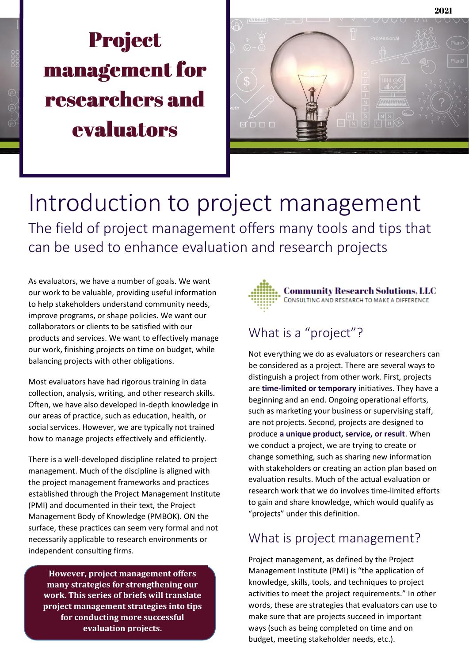# **Project** management for researchers and evaluators



Introduction to project management The field of project management offers many tools and tips that can be used to enhance evaluation and research projects

As evaluators, we have a number of goals. We want our work to be valuable, providing useful information to help stakeholders understand community needs, improve programs, or shape policies. We want our collaborators or clients to be satisfied with our products and services. We want to effectively manage our work, finishing projects on time on budget, while balancing projects with other obligations.

Most evaluators have had rigorous training in data collection, analysis, writing, and other research skills. Often, we have also developed in-depth knowledge in our areas of practice, such as education, health, or social services. However, we are typically not trained how to manage projects effectively and efficiently.

There is a well-developed discipline related to project management. Much of the discipline is aligned with the project management frameworks and practices established through the Project Management Institute (PMI) and documented in their text, the Project Management Body of Knowledge (PMBOK). ON the surface, these practices can seem very formal and not necessarily applicable to research environments or independent consulting firms.

**However, project management offers many strategies for strengthening our work. This series of briefs will translate project management strategies into tips for conducting more successful evaluation projects.**



## What is a "project"?

Not everything we do as evaluators or researchers can be considered as a project. There are several ways to distinguish a project from other work. First, projects are **time-limited or temporary** initiatives. They have a beginning and an end. Ongoing operational efforts, such as marketing your business or supervising staff, are not projects. Second, projects are designed to produce **a unique product, service, or result**. When we conduct a project, we are trying to create or change something, such as sharing new information with stakeholders or creating an action plan based on evaluation results. Much of the actual evaluation or research work that we do involves time-limited efforts to gain and share knowledge, which would qualify as "projects" under this definition.

#### What is project management?

Project management, as defined by the Project Management Institute (PMI) is "the application of knowledge, skills, tools, and techniques to project activities to meet the project requirements." In other words, these are strategies that evaluators can use to make sure that are projects succeed in important ways (such as being completed on time and on budget, meeting stakeholder needs, etc.).